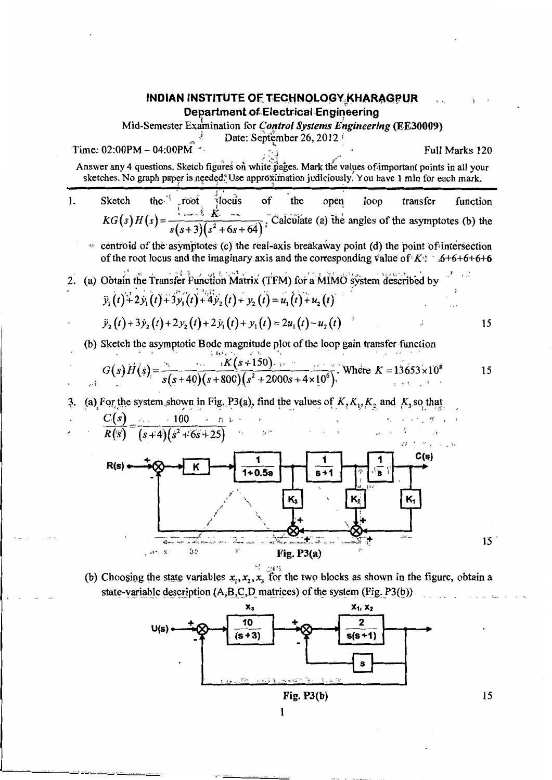## **INDIAN INSTITUTE OF TECHNOLOGY KHARAGPUR Department of Electrical Engineering**

Mid-Semester Examination for *Control Systems Engineering* (EE30009)

Date: September 26, 2012

Full Marks 120 Answer any 4 questions. Sketch figures on white pages. Mark the values of important points in all your sketches. No graph paper is needed. Use approximation judiciously. You have 1 min for each mark.

the."  $\mathbf{1}$ . Sketch  $\sqrt[3]{1}$ ocus  $\alpha$ f the open loop transfer function root  $KG(s)H(s) = \frac{\frac{1}{s} + \frac{1}{2} + \frac{1}{2}}{s(s+3)(s^2+6s+64)}$ . Calculate (a) the angles of the asymptotes (b) the

 $\approx$  centroid of the asymptotes (c) the real-axis breakaway point (d) the point of intersection of the root locus and the imaginary axis and the corresponding value of  $K$ : 56+6+6+6+6+6

 $\mathcal{F}$  ,  $\mathcal{F}$ 2. (a) Obtain the Transfer Function Matrix (TFM) for a MIMO system described by  $\ddot{y}_1(t) + 2\dot{y}_1(t) + 3\dot{y}_1(t) + 4\dot{y}_2(t) + y_2(t) = u_1(t) + u_2(t)$ 

$$
\ddot{y}_2(t) + 3\dot{y}_2(t) + 2y_2(t) + 2\dot{y}_1(t) + y_1(t) = 2u_1(t) - u_2(t)
$$

Time:  $02:00PM - 04:00PM$ 

 $\mathcal{E}^{\frac{1}{2}}$ 

(b) Sketch the asymptotic Bode magnitude plot of the loop gain transfer function  $\mathcal{L}$  data in  $\mathcal{L}$  $\sim$   $\sim$   $\approx$ 

$$
G(s) H(s) = \frac{K(s+150)}{s(s+40)(s+800)(s^2+2000s+4\times10^6)}
$$
 Where  $K = 13653 \times 10^8$ 

15

15

(a) For the system shown in Fig. P3(a), find the values of  $K, K_1, K_2$  and  $K_3$  so that 3.



(b) Choosing the state variables  $x_1, x_2, x_3$  for the two blocks as shown in the figure, obtain a state-variable description (A,B,C,D matrices) of the system (Fig. P3(b))